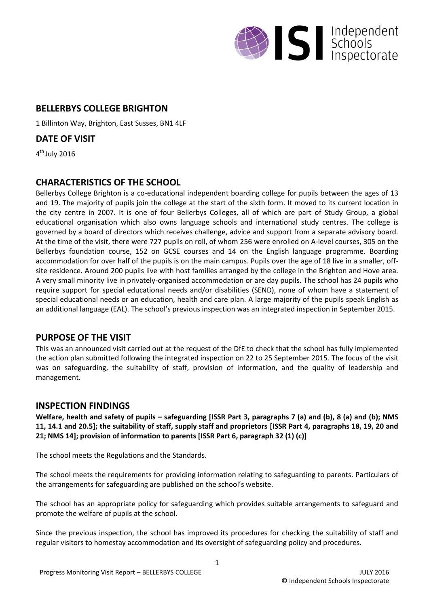

## **BELLERBYS COLLEGE BRIGHTON**

1 Billinton Way, Brighton, East Susses, BN1 4LF

**DATE OF VISIT**

4<sup>th</sup> July 2016

# **CHARACTERISTICS OF THE SCHOOL**

Bellerbys College Brighton is a co-educational independent boarding college for pupils between the ages of 13 and 19. The majority of pupils join the college at the start of the sixth form. It moved to its current location in the city centre in 2007. It is one of four Bellerbys Colleges, all of which are part of Study Group, a global educational organisation which also owns language schools and international study centres. The college is governed by a board of directors which receives challenge, advice and support from a separate advisory board. At the time of the visit, there were 727 pupils on roll, of whom 256 were enrolled on A-level courses, 305 on the Bellerbys foundation course, 152 on GCSE courses and 14 on the English language programme. Boarding accommodation for over half of the pupils is on the main campus. Pupils over the age of 18 live in a smaller, offsite residence. Around 200 pupils live with host families arranged by the college in the Brighton and Hove area. A very small minority live in privately-organised accommodation or are day pupils. The school has 24 pupils who require support for special educational needs and/or disabilities (SEND), none of whom have a statement of special educational needs or an education, health and care plan. A large majority of the pupils speak English as an additional language (EAL). The school's previous inspection was an integrated inspection in September 2015.

### **PURPOSE OF THE VISIT**

This was an announced visit carried out at the request of the DfE to check that the school has fully implemented the action plan submitted following the integrated inspection on 22 to 25 September 2015. The focus of the visit was on safeguarding, the suitability of staff, provision of information, and the quality of leadership and management.

# **INSPECTION FINDINGS**

**Welfare, health and safety of pupils – safeguarding [ISSR Part 3, paragraphs 7 (a) and (b), 8 (a) and (b); NMS 11, 14.1 and 20.5]; the suitability of staff, supply staff and proprietors [ISSR Part 4, paragraphs 18, 19, 20 and 21; NMS 14]; provision of information to parents [ISSR Part 6, paragraph 32 (1) (c)]**

The school meets the Regulations and the Standards.

The school meets the requirements for providing information relating to safeguarding to parents. Particulars of the arrangements for safeguarding are published on the school's website.

The school has an appropriate policy for safeguarding which provides suitable arrangements to safeguard and promote the welfare of pupils at the school.

Since the previous inspection, the school has improved its procedures for checking the suitability of staff and regular visitors to homestay accommodation and its oversight of safeguarding policy and procedures.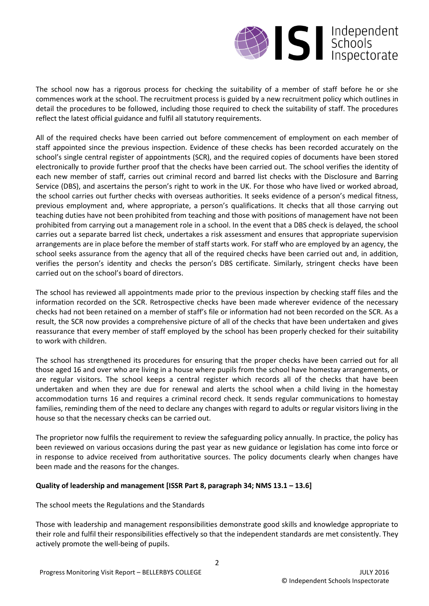

The school now has a rigorous process for checking the suitability of a member of staff before he or she commences work at the school. The recruitment process is guided by a new recruitment policy which outlines in detail the procedures to be followed, including those required to check the suitability of staff. The procedures reflect the latest official guidance and fulfil all statutory requirements.

All of the required checks have been carried out before commencement of employment on each member of staff appointed since the previous inspection. Evidence of these checks has been recorded accurately on the school's single central register of appointments (SCR), and the required copies of documents have been stored electronically to provide further proof that the checks have been carried out. The school verifies the identity of each new member of staff, carries out criminal record and barred list checks with the Disclosure and Barring Service (DBS), and ascertains the person's right to work in the UK. For those who have lived or worked abroad, the school carries out further checks with overseas authorities. It seeks evidence of a person's medical fitness, previous employment and, where appropriate, a person's qualifications. It checks that all those carrying out teaching duties have not been prohibited from teaching and those with positions of management have not been prohibited from carrying out a management role in a school. In the event that a DBS check is delayed, the school carries out a separate barred list check, undertakes a risk assessment and ensures that appropriate supervision arrangements are in place before the member of staff starts work. For staff who are employed by an agency, the school seeks assurance from the agency that all of the required checks have been carried out and, in addition, verifies the person's identity and checks the person's DBS certificate. Similarly, stringent checks have been carried out on the school's board of directors.

The school has reviewed all appointments made prior to the previous inspection by checking staff files and the information recorded on the SCR. Retrospective checks have been made wherever evidence of the necessary checks had not been retained on a member of staff's file or information had not been recorded on the SCR. As a result, the SCR now provides a comprehensive picture of all of the checks that have been undertaken and gives reassurance that every member of staff employed by the school has been properly checked for their suitability to work with children.

The school has strengthened its procedures for ensuring that the proper checks have been carried out for all those aged 16 and over who are living in a house where pupils from the school have homestay arrangements, or are regular visitors. The school keeps a central register which records all of the checks that have been undertaken and when they are due for renewal and alerts the school when a child living in the homestay accommodation turns 16 and requires a criminal record check. It sends regular communications to homestay families, reminding them of the need to declare any changes with regard to adults or regular visitors living in the house so that the necessary checks can be carried out.

The proprietor now fulfils the requirement to review the safeguarding policy annually. In practice, the policy has been reviewed on various occasions during the past year as new guidance or legislation has come into force or in response to advice received from authoritative sources. The policy documents clearly when changes have been made and the reasons for the changes.

#### **Quality of leadership and management [ISSR Part 8, paragraph 34; NMS 13.1 – 13.6]**

The school meets the Regulations and the Standards

Those with leadership and management responsibilities demonstrate good skills and knowledge appropriate to their role and fulfil their responsibilities effectively so that the independent standards are met consistently. They actively promote the well-being of pupils.